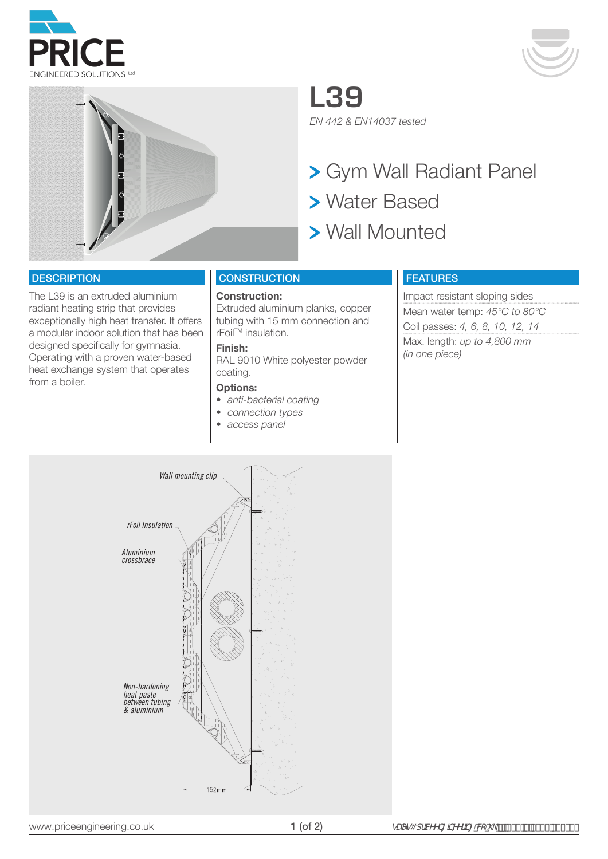





**L39** *EN 442 & EN14037 tested*

Gym Wall Radiant Panel

- Water Based
- Wall Mounted

### **DESCRIPTION**

The L39 is an extruded aluminium radiant heating strip that provides exceptionally high heat transfer. It offers a modular indoor solution that has been designed specifically for gymnasia. Operating with a proven water-based heat exchange system that operates from a boiler.

## **CONSTRUCTION**

#### **Construction:**

Extruded aluminium planks, copper tubing with 15 mm connection and rFoil™ insulation.

### **Finish:**

RAL 9010 White polyester powder coating.

## **Options:**

- *anti-bacterial coating*
- *• connection types*
- *• access panel*

# FEATURES

Impact resistant sloping sides Mean water temp: *45°C to 80°C* Coil passes: *4, 6, 8, 10, 12, 14* Max. length: *up to 4,800 mm (in one piece)*